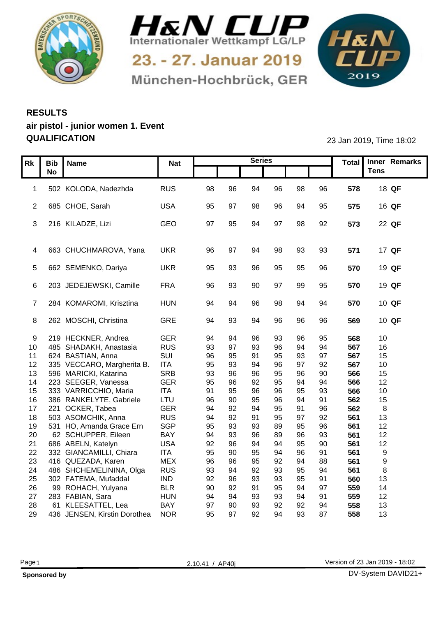



München-Hochbrück, GER

1&N 

## **RESULTS air pistol - junior women 1. Event QUALIFICATION** 23 Jan 2019, Time 18:02

| Rk   Bib   Name<br><b>No</b><br><b>Tens</b><br>1 502 KOLODA, Nadezhda<br>RUS<br>96<br>98<br>96<br>578<br>18 QF<br>98<br>96<br>94<br><b>USA</b><br>2 685 CHOE, Sarah<br>98<br>96<br>94<br>95<br>575<br>16 QF<br>95<br>- 97<br>GEO<br>3 216 KILADZE, Lizi<br>95<br>97<br>98<br>92<br>573<br>22 QF<br>97<br>94<br>4 663 CHUCHMAROVA, Yana<br><b>UKR</b><br>571<br>17 QF<br>96<br>- 97<br>98<br>93<br>93<br>-94<br>5 662 SEMENKO, Dariya<br><b>UKR</b><br>570<br>19 QF<br>93<br>96<br>95<br>95<br>96<br>95<br><b>FRA</b><br>6 203 JEDEJEWSKI, Camille<br>96<br>93<br>90<br>97<br>99<br>95<br>570<br>19 QF<br>284 KOMAROMI, Krisztina<br><b>HUN</b><br>96<br>98<br>570<br>10 QF<br>94<br>94<br>94<br>GRE<br>8 262 MOSCHI, Christina<br>93<br>96<br>96<br>96<br>569<br>10 QF<br>94<br>94<br>GER<br>9 219 HECKNER, Andrea<br>568<br>94<br>95<br>10 <sub>1</sub><br>96<br>93<br><b>RUS</b><br>93<br>97<br>96<br>94<br>567<br>16<br>10 485 SHADAKH, Anastasia<br>93<br>SUI<br>11 624 BASTIAN, Anna<br>96<br>95<br>95<br>97<br>567<br>15<br>93<br><b>ITA</b><br>95<br>92<br>567<br>10 <sub>1</sub><br>12 335 VECCARO, Margherita B.<br>93<br>96<br>Q <sub>7</sub><br><b>SRB</b><br>93<br>96<br>95<br>90<br>566<br>15<br>13 596 MARICKI, Katarina<br>96<br>96<br><b>GER</b><br>95<br>95<br>223 SEEGER, Vanessa<br>96<br>92<br>94<br>566<br>12 <sub>2</sub><br>14<br>94<br><b>ITA</b><br>15 333 VARRICCHIO, Maria<br>96<br>96<br>93<br>566<br>91<br>95<br>95<br>10<br>16 386 RANKELYTE, Gabriele<br>LTU<br>91<br>96<br>90<br>95<br>96<br>562<br>15<br>94<br><b>GER</b><br>92<br>95<br>96<br>562<br>221 OCKER, Tabea<br>94<br>94<br>Q <sub>1</sub><br>17 <sup>2</sup><br><b>RUS</b><br>503 ASOMCHIK, Anna<br>94<br>92<br>95<br>92<br>561<br>Q <sub>7</sub><br>13 <sup>°</sup><br>18<br>91<br>SGP<br>95<br>96<br>531 HO, Amanda Grace Ern<br>93<br>93<br>89<br>561<br>12 <sub>2</sub><br>19<br>BAY<br>62 SCHUPPER, Eileen<br>94<br>93<br>561<br>12 <sup>12</sup><br>20<br>93<br>96<br>89<br>96<br><b>USA</b><br>90<br>686 ABELN, Katelyn<br>92<br>96<br>95<br>561<br>12 <sub>2</sub><br>21<br>94<br><b>ITA</b><br>95<br>91<br>332 GIANCAMILLI, Chiara<br>90<br>95<br>96<br>561<br>22<br>94<br><b>MEX</b><br>96<br>416 QUEZADA, Karen<br>96<br>88<br>561<br>23<br>95<br>92<br>94<br><b>RUS</b><br>93<br>92<br>93<br>94<br>486 SHCHEMELININA, Olga<br>94<br>95<br>561<br>24<br><b>IND</b><br>91<br>92<br>96<br>93<br>95<br>25<br>302 FATEMA, Mufaddal<br>560<br>13<br>93<br><b>BLR</b><br>97<br>90<br>92<br>95<br>26<br>99 ROHACH, Yulyana<br>91<br>94<br>559<br>14 |                  |            |  | <b>Series</b> |  |  | Total Inner Remarks |
|-----------------------------------------------------------------------------------------------------------------------------------------------------------------------------------------------------------------------------------------------------------------------------------------------------------------------------------------------------------------------------------------------------------------------------------------------------------------------------------------------------------------------------------------------------------------------------------------------------------------------------------------------------------------------------------------------------------------------------------------------------------------------------------------------------------------------------------------------------------------------------------------------------------------------------------------------------------------------------------------------------------------------------------------------------------------------------------------------------------------------------------------------------------------------------------------------------------------------------------------------------------------------------------------------------------------------------------------------------------------------------------------------------------------------------------------------------------------------------------------------------------------------------------------------------------------------------------------------------------------------------------------------------------------------------------------------------------------------------------------------------------------------------------------------------------------------------------------------------------------------------------------------------------------------------------------------------------------------------------------------------------------------------------------------------------------------------------------------------------------------------------------------------------------------------------------------------------------------------------------------------------------------------------------------------------------------------------------------------------------------------------------------------------------------------------------------------------------------------------------------------------------------------------------------------|------------------|------------|--|---------------|--|--|---------------------|
|                                                                                                                                                                                                                                                                                                                                                                                                                                                                                                                                                                                                                                                                                                                                                                                                                                                                                                                                                                                                                                                                                                                                                                                                                                                                                                                                                                                                                                                                                                                                                                                                                                                                                                                                                                                                                                                                                                                                                                                                                                                                                                                                                                                                                                                                                                                                                                                                                                                                                                                                                     |                  | <b>Nat</b> |  |               |  |  |                     |
|                                                                                                                                                                                                                                                                                                                                                                                                                                                                                                                                                                                                                                                                                                                                                                                                                                                                                                                                                                                                                                                                                                                                                                                                                                                                                                                                                                                                                                                                                                                                                                                                                                                                                                                                                                                                                                                                                                                                                                                                                                                                                                                                                                                                                                                                                                                                                                                                                                                                                                                                                     |                  |            |  |               |  |  |                     |
|                                                                                                                                                                                                                                                                                                                                                                                                                                                                                                                                                                                                                                                                                                                                                                                                                                                                                                                                                                                                                                                                                                                                                                                                                                                                                                                                                                                                                                                                                                                                                                                                                                                                                                                                                                                                                                                                                                                                                                                                                                                                                                                                                                                                                                                                                                                                                                                                                                                                                                                                                     |                  |            |  |               |  |  |                     |
|                                                                                                                                                                                                                                                                                                                                                                                                                                                                                                                                                                                                                                                                                                                                                                                                                                                                                                                                                                                                                                                                                                                                                                                                                                                                                                                                                                                                                                                                                                                                                                                                                                                                                                                                                                                                                                                                                                                                                                                                                                                                                                                                                                                                                                                                                                                                                                                                                                                                                                                                                     |                  |            |  |               |  |  |                     |
|                                                                                                                                                                                                                                                                                                                                                                                                                                                                                                                                                                                                                                                                                                                                                                                                                                                                                                                                                                                                                                                                                                                                                                                                                                                                                                                                                                                                                                                                                                                                                                                                                                                                                                                                                                                                                                                                                                                                                                                                                                                                                                                                                                                                                                                                                                                                                                                                                                                                                                                                                     |                  |            |  |               |  |  |                     |
|                                                                                                                                                                                                                                                                                                                                                                                                                                                                                                                                                                                                                                                                                                                                                                                                                                                                                                                                                                                                                                                                                                                                                                                                                                                                                                                                                                                                                                                                                                                                                                                                                                                                                                                                                                                                                                                                                                                                                                                                                                                                                                                                                                                                                                                                                                                                                                                                                                                                                                                                                     |                  |            |  |               |  |  |                     |
|                                                                                                                                                                                                                                                                                                                                                                                                                                                                                                                                                                                                                                                                                                                                                                                                                                                                                                                                                                                                                                                                                                                                                                                                                                                                                                                                                                                                                                                                                                                                                                                                                                                                                                                                                                                                                                                                                                                                                                                                                                                                                                                                                                                                                                                                                                                                                                                                                                                                                                                                                     |                  |            |  |               |  |  |                     |
|                                                                                                                                                                                                                                                                                                                                                                                                                                                                                                                                                                                                                                                                                                                                                                                                                                                                                                                                                                                                                                                                                                                                                                                                                                                                                                                                                                                                                                                                                                                                                                                                                                                                                                                                                                                                                                                                                                                                                                                                                                                                                                                                                                                                                                                                                                                                                                                                                                                                                                                                                     |                  |            |  |               |  |  |                     |
|                                                                                                                                                                                                                                                                                                                                                                                                                                                                                                                                                                                                                                                                                                                                                                                                                                                                                                                                                                                                                                                                                                                                                                                                                                                                                                                                                                                                                                                                                                                                                                                                                                                                                                                                                                                                                                                                                                                                                                                                                                                                                                                                                                                                                                                                                                                                                                                                                                                                                                                                                     |                  |            |  |               |  |  |                     |
|                                                                                                                                                                                                                                                                                                                                                                                                                                                                                                                                                                                                                                                                                                                                                                                                                                                                                                                                                                                                                                                                                                                                                                                                                                                                                                                                                                                                                                                                                                                                                                                                                                                                                                                                                                                                                                                                                                                                                                                                                                                                                                                                                                                                                                                                                                                                                                                                                                                                                                                                                     |                  |            |  |               |  |  |                     |
|                                                                                                                                                                                                                                                                                                                                                                                                                                                                                                                                                                                                                                                                                                                                                                                                                                                                                                                                                                                                                                                                                                                                                                                                                                                                                                                                                                                                                                                                                                                                                                                                                                                                                                                                                                                                                                                                                                                                                                                                                                                                                                                                                                                                                                                                                                                                                                                                                                                                                                                                                     |                  |            |  |               |  |  |                     |
|                                                                                                                                                                                                                                                                                                                                                                                                                                                                                                                                                                                                                                                                                                                                                                                                                                                                                                                                                                                                                                                                                                                                                                                                                                                                                                                                                                                                                                                                                                                                                                                                                                                                                                                                                                                                                                                                                                                                                                                                                                                                                                                                                                                                                                                                                                                                                                                                                                                                                                                                                     |                  |            |  |               |  |  |                     |
|                                                                                                                                                                                                                                                                                                                                                                                                                                                                                                                                                                                                                                                                                                                                                                                                                                                                                                                                                                                                                                                                                                                                                                                                                                                                                                                                                                                                                                                                                                                                                                                                                                                                                                                                                                                                                                                                                                                                                                                                                                                                                                                                                                                                                                                                                                                                                                                                                                                                                                                                                     |                  |            |  |               |  |  |                     |
|                                                                                                                                                                                                                                                                                                                                                                                                                                                                                                                                                                                                                                                                                                                                                                                                                                                                                                                                                                                                                                                                                                                                                                                                                                                                                                                                                                                                                                                                                                                                                                                                                                                                                                                                                                                                                                                                                                                                                                                                                                                                                                                                                                                                                                                                                                                                                                                                                                                                                                                                                     |                  |            |  |               |  |  |                     |
|                                                                                                                                                                                                                                                                                                                                                                                                                                                                                                                                                                                                                                                                                                                                                                                                                                                                                                                                                                                                                                                                                                                                                                                                                                                                                                                                                                                                                                                                                                                                                                                                                                                                                                                                                                                                                                                                                                                                                                                                                                                                                                                                                                                                                                                                                                                                                                                                                                                                                                                                                     |                  |            |  |               |  |  |                     |
|                                                                                                                                                                                                                                                                                                                                                                                                                                                                                                                                                                                                                                                                                                                                                                                                                                                                                                                                                                                                                                                                                                                                                                                                                                                                                                                                                                                                                                                                                                                                                                                                                                                                                                                                                                                                                                                                                                                                                                                                                                                                                                                                                                                                                                                                                                                                                                                                                                                                                                                                                     |                  |            |  |               |  |  |                     |
|                                                                                                                                                                                                                                                                                                                                                                                                                                                                                                                                                                                                                                                                                                                                                                                                                                                                                                                                                                                                                                                                                                                                                                                                                                                                                                                                                                                                                                                                                                                                                                                                                                                                                                                                                                                                                                                                                                                                                                                                                                                                                                                                                                                                                                                                                                                                                                                                                                                                                                                                                     |                  |            |  |               |  |  |                     |
|                                                                                                                                                                                                                                                                                                                                                                                                                                                                                                                                                                                                                                                                                                                                                                                                                                                                                                                                                                                                                                                                                                                                                                                                                                                                                                                                                                                                                                                                                                                                                                                                                                                                                                                                                                                                                                                                                                                                                                                                                                                                                                                                                                                                                                                                                                                                                                                                                                                                                                                                                     |                  |            |  |               |  |  |                     |
|                                                                                                                                                                                                                                                                                                                                                                                                                                                                                                                                                                                                                                                                                                                                                                                                                                                                                                                                                                                                                                                                                                                                                                                                                                                                                                                                                                                                                                                                                                                                                                                                                                                                                                                                                                                                                                                                                                                                                                                                                                                                                                                                                                                                                                                                                                                                                                                                                                                                                                                                                     |                  |            |  |               |  |  |                     |
|                                                                                                                                                                                                                                                                                                                                                                                                                                                                                                                                                                                                                                                                                                                                                                                                                                                                                                                                                                                                                                                                                                                                                                                                                                                                                                                                                                                                                                                                                                                                                                                                                                                                                                                                                                                                                                                                                                                                                                                                                                                                                                                                                                                                                                                                                                                                                                                                                                                                                                                                                     |                  |            |  |               |  |  |                     |
|                                                                                                                                                                                                                                                                                                                                                                                                                                                                                                                                                                                                                                                                                                                                                                                                                                                                                                                                                                                                                                                                                                                                                                                                                                                                                                                                                                                                                                                                                                                                                                                                                                                                                                                                                                                                                                                                                                                                                                                                                                                                                                                                                                                                                                                                                                                                                                                                                                                                                                                                                     |                  |            |  |               |  |  |                     |
|                                                                                                                                                                                                                                                                                                                                                                                                                                                                                                                                                                                                                                                                                                                                                                                                                                                                                                                                                                                                                                                                                                                                                                                                                                                                                                                                                                                                                                                                                                                                                                                                                                                                                                                                                                                                                                                                                                                                                                                                                                                                                                                                                                                                                                                                                                                                                                                                                                                                                                                                                     |                  |            |  |               |  |  |                     |
|                                                                                                                                                                                                                                                                                                                                                                                                                                                                                                                                                                                                                                                                                                                                                                                                                                                                                                                                                                                                                                                                                                                                                                                                                                                                                                                                                                                                                                                                                                                                                                                                                                                                                                                                                                                                                                                                                                                                                                                                                                                                                                                                                                                                                                                                                                                                                                                                                                                                                                                                                     |                  |            |  |               |  |  |                     |
|                                                                                                                                                                                                                                                                                                                                                                                                                                                                                                                                                                                                                                                                                                                                                                                                                                                                                                                                                                                                                                                                                                                                                                                                                                                                                                                                                                                                                                                                                                                                                                                                                                                                                                                                                                                                                                                                                                                                                                                                                                                                                                                                                                                                                                                                                                                                                                                                                                                                                                                                                     |                  |            |  |               |  |  |                     |
|                                                                                                                                                                                                                                                                                                                                                                                                                                                                                                                                                                                                                                                                                                                                                                                                                                                                                                                                                                                                                                                                                                                                                                                                                                                                                                                                                                                                                                                                                                                                                                                                                                                                                                                                                                                                                                                                                                                                                                                                                                                                                                                                                                                                                                                                                                                                                                                                                                                                                                                                                     |                  |            |  |               |  |  |                     |
|                                                                                                                                                                                                                                                                                                                                                                                                                                                                                                                                                                                                                                                                                                                                                                                                                                                                                                                                                                                                                                                                                                                                                                                                                                                                                                                                                                                                                                                                                                                                                                                                                                                                                                                                                                                                                                                                                                                                                                                                                                                                                                                                                                                                                                                                                                                                                                                                                                                                                                                                                     |                  |            |  |               |  |  |                     |
|                                                                                                                                                                                                                                                                                                                                                                                                                                                                                                                                                                                                                                                                                                                                                                                                                                                                                                                                                                                                                                                                                                                                                                                                                                                                                                                                                                                                                                                                                                                                                                                                                                                                                                                                                                                                                                                                                                                                                                                                                                                                                                                                                                                                                                                                                                                                                                                                                                                                                                                                                     |                  |            |  |               |  |  |                     |
|                                                                                                                                                                                                                                                                                                                                                                                                                                                                                                                                                                                                                                                                                                                                                                                                                                                                                                                                                                                                                                                                                                                                                                                                                                                                                                                                                                                                                                                                                                                                                                                                                                                                                                                                                                                                                                                                                                                                                                                                                                                                                                                                                                                                                                                                                                                                                                                                                                                                                                                                                     |                  |            |  |               |  |  |                     |
|                                                                                                                                                                                                                                                                                                                                                                                                                                                                                                                                                                                                                                                                                                                                                                                                                                                                                                                                                                                                                                                                                                                                                                                                                                                                                                                                                                                                                                                                                                                                                                                                                                                                                                                                                                                                                                                                                                                                                                                                                                                                                                                                                                                                                                                                                                                                                                                                                                                                                                                                                     |                  |            |  |               |  |  |                     |
|                                                                                                                                                                                                                                                                                                                                                                                                                                                                                                                                                                                                                                                                                                                                                                                                                                                                                                                                                                                                                                                                                                                                                                                                                                                                                                                                                                                                                                                                                                                                                                                                                                                                                                                                                                                                                                                                                                                                                                                                                                                                                                                                                                                                                                                                                                                                                                                                                                                                                                                                                     |                  |            |  |               |  |  |                     |
|                                                                                                                                                                                                                                                                                                                                                                                                                                                                                                                                                                                                                                                                                                                                                                                                                                                                                                                                                                                                                                                                                                                                                                                                                                                                                                                                                                                                                                                                                                                                                                                                                                                                                                                                                                                                                                                                                                                                                                                                                                                                                                                                                                                                                                                                                                                                                                                                                                                                                                                                                     |                  |            |  |               |  |  |                     |
|                                                                                                                                                                                                                                                                                                                                                                                                                                                                                                                                                                                                                                                                                                                                                                                                                                                                                                                                                                                                                                                                                                                                                                                                                                                                                                                                                                                                                                                                                                                                                                                                                                                                                                                                                                                                                                                                                                                                                                                                                                                                                                                                                                                                                                                                                                                                                                                                                                                                                                                                                     |                  |            |  |               |  |  |                     |
|                                                                                                                                                                                                                                                                                                                                                                                                                                                                                                                                                                                                                                                                                                                                                                                                                                                                                                                                                                                                                                                                                                                                                                                                                                                                                                                                                                                                                                                                                                                                                                                                                                                                                                                                                                                                                                                                                                                                                                                                                                                                                                                                                                                                                                                                                                                                                                                                                                                                                                                                                     |                  |            |  |               |  |  |                     |
|                                                                                                                                                                                                                                                                                                                                                                                                                                                                                                                                                                                                                                                                                                                                                                                                                                                                                                                                                                                                                                                                                                                                                                                                                                                                                                                                                                                                                                                                                                                                                                                                                                                                                                                                                                                                                                                                                                                                                                                                                                                                                                                                                                                                                                                                                                                                                                                                                                                                                                                                                     |                  |            |  |               |  |  |                     |
| 27<br>94<br>94<br>93<br>91<br>93<br>94<br>559                                                                                                                                                                                                                                                                                                                                                                                                                                                                                                                                                                                                                                                                                                                                                                                                                                                                                                                                                                                                                                                                                                                                                                                                                                                                                                                                                                                                                                                                                                                                                                                                                                                                                                                                                                                                                                                                                                                                                                                                                                                                                                                                                                                                                                                                                                                                                                                                                                                                                                       | 283 FABIAN, Sara | <b>HUN</b> |  |               |  |  | 12 <sup>12</sup>    |
| <b>BAY</b><br>28<br>61 KLEESATTEL, Lea<br>97<br>558<br>13 <sup>°</sup><br>90<br>92<br>92<br>94<br>93                                                                                                                                                                                                                                                                                                                                                                                                                                                                                                                                                                                                                                                                                                                                                                                                                                                                                                                                                                                                                                                                                                                                                                                                                                                                                                                                                                                                                                                                                                                                                                                                                                                                                                                                                                                                                                                                                                                                                                                                                                                                                                                                                                                                                                                                                                                                                                                                                                                |                  |            |  |               |  |  |                     |
| <b>NOR</b><br>95<br>87<br>29 436 JENSEN, Kirstin Dorothea<br>97<br>92<br>94<br>93<br>558<br>13                                                                                                                                                                                                                                                                                                                                                                                                                                                                                                                                                                                                                                                                                                                                                                                                                                                                                                                                                                                                                                                                                                                                                                                                                                                                                                                                                                                                                                                                                                                                                                                                                                                                                                                                                                                                                                                                                                                                                                                                                                                                                                                                                                                                                                                                                                                                                                                                                                                      |                  |            |  |               |  |  |                     |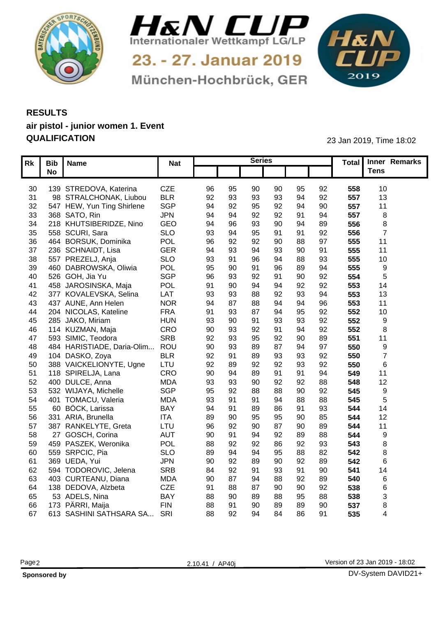



München-Hochbrück, GER

1&N 

## **RESULTS air pistol - junior women 1. Event QUALIFICATION** 23 Jan 2019, Time 18:02

|    | Rk   Bib   Name                                     | <b>Nat</b>               |                      |          | <b>Series</b> |                |          |                 | Total Inner Remarks |  |
|----|-----------------------------------------------------|--------------------------|----------------------|----------|---------------|----------------|----------|-----------------|---------------------|--|
|    | <b>No</b>                                           |                          |                      |          |               |                |          |                 | <b>Tens</b>         |  |
|    |                                                     |                          |                      |          |               |                |          |                 |                     |  |
|    | 30 139 STREDOVA, Katerina<br>98 STRALCHONAK, Liubou | <b>CZE</b><br><b>BLR</b> | 96<br>95             | 90       | 90            | 95             | 92<br>92 | 558             | 10                  |  |
| 31 | 32 547 HEW, Yun Ting Shirlene                       | SGP                      | 92<br>93<br>94<br>92 | 93<br>95 | 93<br>92      | 94<br>94       | 90       | 557<br>557      | 13<br>11            |  |
|    | 33 368 SATO, Rin                                    | <b>JPN</b>               | 94<br>-94            | 92       | 92            | Q <sub>1</sub> | 94       | 557             |                     |  |
| 34 | 218 KHUTSIBERIDZE, Nino                             | GEO                      | 94<br>96             | 93       | 90            |                | 89       | 556             |                     |  |
|    | 35 558 SCURI, Sara                                  | <b>SLO</b>               | 93                   | 95       | 91            | 91             | 92       | 556             |                     |  |
| 36 | 464 BORSUK, Dominika                                | POL                      | 96<br>92             | 92       | 90            |                | 97       | 555             | 11                  |  |
| 37 | 236 SCHNAIDT, Lisa                                  | <b>GER</b>               | 94<br>93             |          | 93            | 90             | 91       | 555             | 11                  |  |
| 38 | 557 PREZELJ, Anja                                   | <b>SLO</b>               | 93                   |          | 94            | 88             | 93       | 555             | 10                  |  |
| 39 | 460 DABROWSKA, Oliwia                               | POL                      | 95                   |          | 96            |                | 94       | 555             |                     |  |
| 40 | 526 GOH, Jia Yu                                     | SGP                      | 96<br>93             | 92       | 91            | 90             | 92       | 554             |                     |  |
| 41 | 458 JAROSINSKA, Maja                                | POL                      | 91<br><b>90</b>      |          |               | 92             | 92       | 553             | 14                  |  |
| 42 | 377 KOVALEVSKA, Selina                              | LAT                      | 93<br>93             |          | 92            | ۵R             | 94       | 553             | 13                  |  |
| 43 | 437 AUNE, Ann Helen                                 | <b>NOR</b>               | 94<br>87             |          | ٩4            | 94             | 96       | 553             | 11                  |  |
| 44 | 204 NICOLAS, Kateline                               | <b>FRA</b>               | 91<br>93             | 87       | 94            |                | 92       | 552             | 10                  |  |
| 45 | 285 JAKO, Miriam                                    | <b>HUN</b>               | 93<br>90             | ٩        | 93            | 93             | 92       | 552             |                     |  |
| 46 | 114 KUZMAN, Maja                                    | CRO                      | 90<br>93             |          | 91            |                | 92       | 552             |                     |  |
| 47 | 593 SIMIC, Teodora                                  | <b>SRB</b>               | 92<br>93             | 95       | 92            | Q <sub>0</sub> | 89       | 551             | 11                  |  |
| 48 | 484 HARISTIADE, Daria-Olim.                         | ROU                      | 90                   |          |               |                | 97       | 550             |                     |  |
| 49 | 104 DASKO, Zoya                                     | <b>BLR</b>               | 92                   |          | 93            | 93             | 92       | 550             |                     |  |
| 50 | 388 VAICKELIONYTE, Ugne                             | LTU                      | 92<br>89             | 92       | 92            | 93             | 92       | 550             |                     |  |
| 51 | 118 SPIRELJA, Lana                                  | CRO                      | 90                   |          | 91            | Q <sub>1</sub> | 94       | 549             | 11                  |  |
| 52 | 400 DULCE, Anna                                     | <b>MDA</b>               | 93<br>93             | 90       | 92            | Q2             | 88       | 548             | 12                  |  |
| 53 | 532 WIJAYA, Michelle                                | SGP                      | 95<br>92             |          |               | 90             | 92       | 545             |                     |  |
| 54 | 401 TOMACU, Valeria                                 | <b>MDA</b>               | 93                   |          | $Q_{\Delta}$  |                | 88       | 545             |                     |  |
| 55 | 60 BÖCK, Larissa                                    | <b>BAY</b>               | 94                   |          |               | Q <sub>1</sub> | 93       | 544             | 14                  |  |
| 56 | 331 ARIA, Brunella                                  | <b>ITA</b>               | 89<br>90             | 95       | 95            | 90             | 85       | 544             | 12                  |  |
| 57 | 387 RANKELYTE, Greta                                | LTU                      | 96<br>92             |          | 87            |                | 89       | 54              |                     |  |
| 58 | 27 GOSCH, Corina                                    | <b>AUT</b>               | 90                   |          | 92            |                | 88       | 544             |                     |  |
| 59 | 459 PASZEK, Weronika                                | POL                      | 88<br>92             |          | 86            | 92             | 93       | 543             |                     |  |
| 60 | 559 SRPCIC, Pia                                     | <b>SLO</b>               | 89                   |          | 95            |                | 82       | 542             |                     |  |
| 61 | 369 UEDA, Yui                                       | <b>JPN</b>               | 90<br>92             |          | 90            | 92             | 89       | 542             |                     |  |
| 62 | 594 TODOROVIC, Jelena                               | <b>SRB</b>               | 84<br>92             |          | 93            | ۵٠             | 90       | 54 <sup>°</sup> | 14                  |  |
| 63 | 403 CURTEANU, Diana                                 | <b>MDA</b>               | 90<br>Ω7             |          |               | 92             | 89       | 540             |                     |  |
| 64 | 138 DEDOVA, Alzbeta                                 | <b>CZE</b>               | 91                   |          | 90            | 90             | 92       | 538             |                     |  |
| 65 | 53 ADELS, Nina                                      | <b>BAY</b>               | 88                   |          |               |                | 88       | 538             |                     |  |
| 66 | 173 PÄRRI, Maija                                    | <b>FIN</b>               | 88                   |          | 89            |                | 90       | 537             |                     |  |
|    | 67 613 SASHINI SATHSARA SA                          | SRI                      | 88<br>92             | 94       | 84            | 86             | 91       | 535             |                     |  |